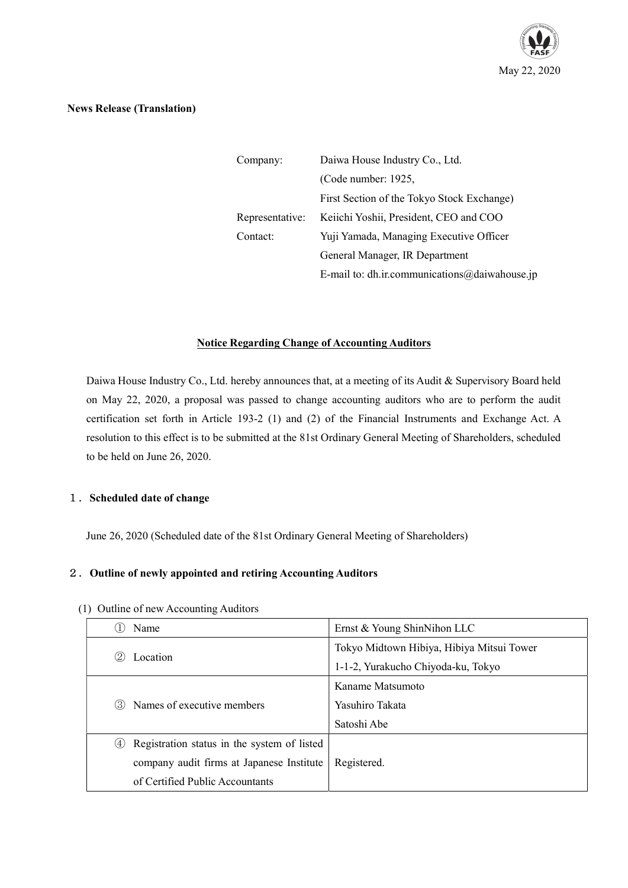

#### News Release (Translation)

| Company:        | Daiwa House Industry Co., Ltd.                |  |
|-----------------|-----------------------------------------------|--|
|                 | (Code number: 1925,                           |  |
|                 | First Section of the Tokyo Stock Exchange)    |  |
| Representative: | Keiichi Yoshii, President, CEO and COO        |  |
| Contact:        | Yuji Yamada, Managing Executive Officer       |  |
|                 | General Manager, IR Department                |  |
|                 | E-mail to: dh.ir.communications@daiwahouse.jp |  |

# Notice Regarding Change of Accounting Auditors

Daiwa House Industry Co., Ltd. hereby announces that, at a meeting of its Audit & Supervisory Board held on May 22, 2020, a proposal was passed to change accounting auditors who are to perform the audit certification set forth in Article 193-2 (1) and (2) of the Financial Instruments and Exchange Act. A resolution to this effect is to be submitted at the 81st Ordinary General Meeting of Shareholders, scheduled to be held on June 26, 2020.

#### 1. Scheduled date of change

June 26, 2020 (Scheduled date of the 81st Ordinary General Meeting of Shareholders)

### 2. Outline of newly appointed and retiring Accounting Auditors

|                                 | Name                                        | Ernst & Young ShinNihon LLC               |
|---------------------------------|---------------------------------------------|-------------------------------------------|
|                                 |                                             | Tokyo Midtown Hibiya, Hibiya Mitsui Tower |
|                                 | Location                                    | 1-1-2, Yurakucho Chiyoda-ku, Tokyo        |
| (3)                             |                                             | Kaname Matsumoto                          |
|                                 | Names of executive members                  | Yasuhiro Takata                           |
|                                 |                                             | Satoshi Abe                               |
| (4)                             | Registration status in the system of listed |                                           |
|                                 | company audit firms at Japanese Institute   | Registered.                               |
| of Certified Public Accountants |                                             |                                           |

(1) Outline of new Accounting Auditors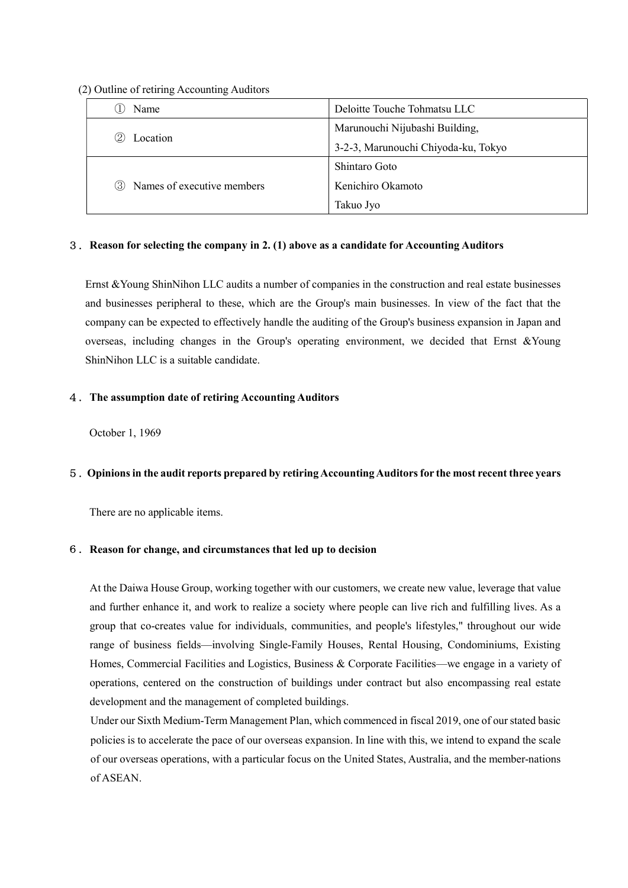(2) Outline of retiring Accounting Auditors

| Name                              | Deloitte Touche Tohmatsu LLC        |
|-----------------------------------|-------------------------------------|
|                                   | Marunouchi Nijubashi Building,      |
| Location<br>(2)                   | 3-2-3, Marunouchi Chiyoda-ku, Tokyo |
|                                   | Shintaro Goto                       |
| Names of executive members<br>(3) | Kenichiro Okamoto                   |
|                                   | Takuo Jyo                           |

### 3.Reason for selecting the company in 2. (1) above as a candidate for Accounting Auditors

Ernst &Young ShinNihon LLC audits a number of companies in the construction and real estate businesses and businesses peripheral to these, which are the Group's main businesses. In view of the fact that the company can be expected to effectively handle the auditing of the Group's business expansion in Japan and overseas, including changes in the Group's operating environment, we decided that Ernst &Young ShinNihon LLC is a suitable candidate.

## 4.The assumption date of retiring Accounting Auditors

October 1, 1969

### 5.Opinions in the audit reports prepared by retiring Accounting Auditors for the most recent three years

There are no applicable items.

### 6.Reason for change, and circumstances that led up to decision

At the Daiwa House Group, working together with our customers, we create new value, leverage that value and further enhance it, and work to realize a society where people can live rich and fulfilling lives. As a group that co-creates value for individuals, communities, and people's lifestyles," throughout our wide range of business fields—involving Single-Family Houses, Rental Housing, Condominiums, Existing Homes, Commercial Facilities and Logistics, Business & Corporate Facilities—we engage in a variety of operations, centered on the construction of buildings under contract but also encompassing real estate development and the management of completed buildings.

 Under our Sixth Medium-Term Management Plan, which commenced in fiscal 2019, one of our stated basic policies is to accelerate the pace of our overseas expansion. In line with this, we intend to expand the scale of our overseas operations, with a particular focus on the United States, Australia, and the member-nations of ASEAN.